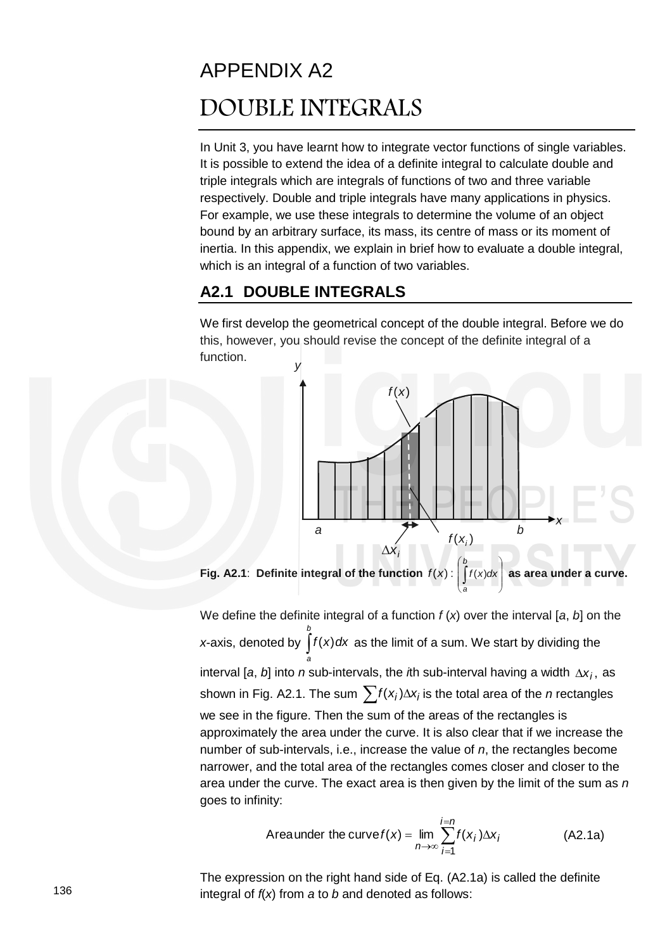# APPENDIX A2 DOUBLE INTEGRALS

In Unit 3, you have learnt how to integrate vector functions of single variables. It is possible to extend the idea of a definite integral to calculate double and triple integrals which are integrals of functions of two and three variable respectively. Double and triple integrals have many applications in physics. For example, we use these integrals to determine the volume of an object bound by an arbitrary surface, its mass, its centre of mass or its moment of inertia. In this appendix, we explain in brief how to evaluate a double integral, which is an integral of a function of two variables.

#### **A2.1 DOUBLE INTEGRALS**

We first develop the geometrical concept of the double integral. Before we do this, however, you should revise the concept of the definite integral of a function.



**Fig. A2.1:** Definite integral of the function  $f(x)$ :  $\int f(x)dx$  $\begin{array}{c} \hline \end{array}$ J l  $\int$  $\overline{\phantom{a}}$  $\int$ *b a*  $f(x)dx$  as area under a curve.

We define the definite integral of a function *f* (*x*) over the interval [*a*, *b*] on the *x*-axis, denoted by  $\int f(x) dx$ *b a*  $\int f(x) dx$  as the limit of a sum. We start by dividing the interval [a, b] into *n* sub-intervals, the *i*th sub-interval having a width  $\Delta x_i$ , as shown in Fig. A2.1. The sum  $\sum f(x_i) \Delta x_i$  is the total area of the *n* rectangles we see in the figure. Then the sum of the areas of the rectangles is approximately the area under the curve. It is also clear that if we increase the number of sub-intervals, i.e., increase the value of *n*, the rectangles become narrower, and the total area of the rectangles comes closer and closer to the area under the curve. The exact area is then given by the limit of the sum as *n*  goes to infinity:

$$
\text{Area under the curve } f(x) = \lim_{n \to \infty} \sum_{i=1}^{i=n} f(x_i) \Delta x_i \tag{A2.1a}
$$

The expression on the right hand side of Eq. (A2.1a) is called the definite integral of *f*(*x*) from *a* to *b* and denoted as follows: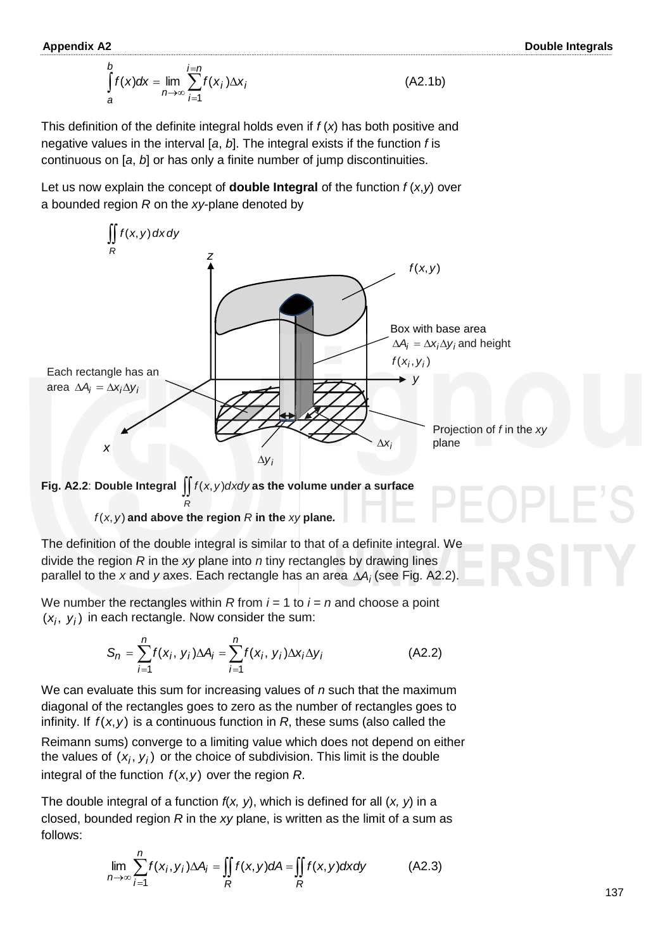$$
\int_{a}^{b} f(x)dx = \lim_{n \to \infty} \sum_{i=1}^{i=n} f(x_i) \Delta x_i
$$
\n(A2.1b)

This definition of the definite integral holds even if *f* (*x*) has both positive and negative values in the interval [*a*, *b*]. The integral exists if the function *f* is continuous on [*a*, *b*] or has only a finite number of jump discontinuities.

Let us now explain the concept of **double Integral** of the function  $f(x, y)$  over a bounded region *R* on the *xy*-plane denoted by



**Fig. A2.2: Double Integral**  $\iint f(x, y) dx dy$  as the volume under a surface

*R*  $f(x, y)$  and above the region  $R$  in the  $xy$  plane.

The definition of the double integral is similar to that of a definite integral. We divide the region *R* in the *xy* plane into *n* tiny rectangles by drawing lines parallel to the *x* and *y* axes. Each rectangle has an area *A<sup>i</sup>* (see Fig. A2.2).

We number the rectangles within *R* from *i =* 1 to *i = n* and choose a point  $(x_i, y_i)$  in each rectangle. Now consider the sum:

$$
S_n = \sum_{i=1}^n f(x_i, y_i) \Delta A_i = \sum_{i=1}^n f(x_i, y_i) \Delta x_i \Delta y_i
$$
 (A2.2)

We can evaluate this sum for increasing values of *n* such that the maximum diagonal of the rectangles goes to zero as the number of rectangles goes to infinity. If  $f(x, y)$  is a continuous function in  $R$ , these sums (also called the

Reimann sums) converge to a limiting value which does not depend on either the values of  $(x_i, y_i)$  or the choice of subdivision. This limit is the double integral of the function  $f(x, y)$  over the region  $R$ .

The double integral of a function *f*(*x, y*), which is defined for all (*x, y*) in a closed, bounded region *R* in the *xy* plane, is written as the limit of a sum as follows:

$$
\lim_{n\to\infty}\sum_{i=1}^n f(x_i,y_i)\Delta A_i = \iint_R f(x,y)dA = \iint_R f(x,y)dxdy
$$
 (A2.3)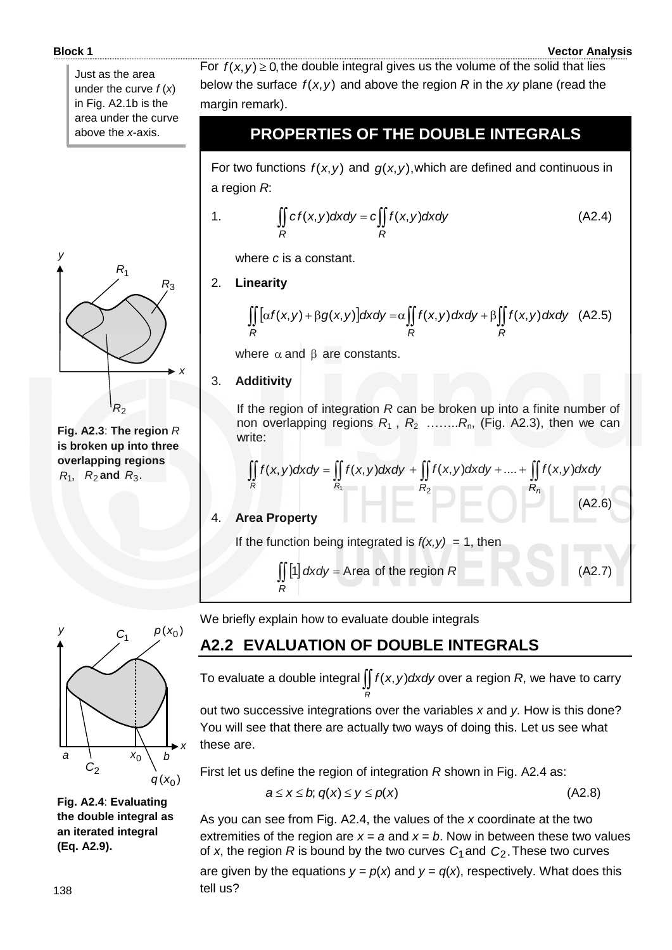#### **Block 1 Vector Analysis**

Just as the area under the curve *f* (*x*) in Fig. A2.1b is the area under the curve above the *x*-axis.



**Fig. A2.3**: **The region** *R* **is broken up into three overlapping regions**   $R_1$ ,  $R_2$  and  $R_3$ .



#### **PROPERTIES OF THE DOUBLE INTEGRALS**

For two functions  $f(x, y)$  and  $g(x, y)$ , which are defined and continuous in a region *R*:

1. 
$$
\iint_{R} cf(x,y)dxdy = c \iint_{R} f(x,y)dxdy
$$
 (A2.4)

where *c* is a constant.

#### 2. **Linearity**

$$
\iint\limits_R [\alpha f(x,y) + \beta g(x,y)]dxdy = \alpha \iint\limits_R f(x,y) dxdy + \beta \iint\limits_R f(x,y) dxdy \quad (A2.5)
$$

where  $\alpha$  and  $\beta$  are constants.

#### 3. **Additivity**

If the region of integration *R* can be broken up into a finite number of non overlapping regions  $R_1$ ,  $R_2$  ........ $R_n$ , (Fig. A2.3), then we can write:

$$
\iint\limits_R f(x,y) dxdy = \iint\limits_{R_1} f(x,y) dxdy + \iint\limits_{R_2} f(x,y) dxdy + .... + \iint\limits_{R_n} f(x,y) dxdy
$$

(A2.6)

#### 4. **Area Property**

If the function being integrated is  $f(x, y) = 1$ , then

$$
\iint_R [1] dxdy = \text{Area of the region } R
$$
 (A2.7)

We briefly explain how to evaluate double integrals

### **A2.2 EVALUATION OF DOUBLE INTEGRALS**

To evaluate a double integral  $\iint f(x, y) dx dy$  over a region *R*, we have to carry *R*

out two successive integrations over the variables *x* and *y*. How is this done? You will see that there are actually two ways of doing this. Let us see what these are.

First let us define the region of integration *R* shown in Fig. A2.4 as:

$$
a \leq x \leq b; \, q(x) \leq y \leq p(x) \tag{A2.8}
$$

As you can see from Fig. A2.4, the values of the *x* coordinate at the two extremities of the region are  $x = a$  and  $x = b$ . Now in between these two values of x, the region R is bound by the two curves  $C_1$  and  $C_2$ . These two curves

are given by the equations  $y = p(x)$  and  $y = q(x)$ , respectively. What does this tell us?



**Fig. A2.4**: **Evaluating the double integral as an iterated integral (Eq. A2.9).**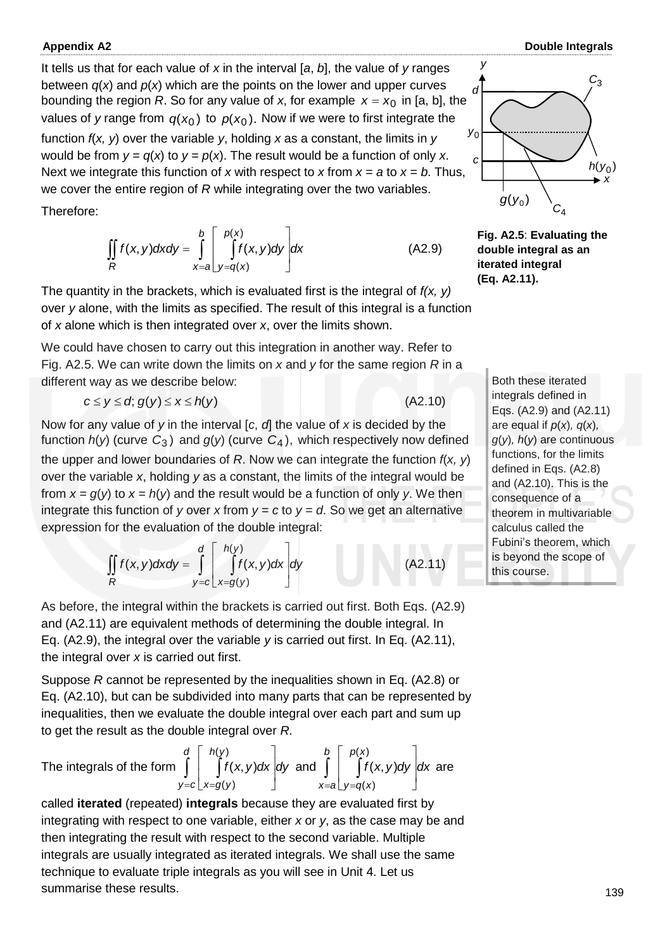It tells us that for each value of *x* in the interval [*a*, *b*], the value of *y* ranges between  $q(x)$  and  $p(x)$  which are the points on the lower and upper curves bounding the region *R*. So for any value of *x*, for example  $x = x_0$  in [a, b], the values of *y* range from  $q(x_0)$  to  $p(x_0)$ . Now if we were to first integrate the function *f*(*x, y*) over the variable *y*, holding *x* as a constant, the limits in *y* would be from  $y = q(x)$  to  $y = p(x)$ . The result would be a function of only x. Next we integrate this function of *x* with respect to *x* from  $x = a$  to  $x = b$ . Thus, we cover the entire region of *R* while integrating over the two variables.

Therefore:

$$
\iint\limits_R f(x, y) dxdy = \int\limits_{x=a}^b \left[ \int\limits_{y=q(x)}^{p(x)} f(x, y) dy \right] dx
$$
\n(A2.9)

The quantity in the brackets, which is evaluated first is the integral of *f(x, y)* over *y* alone, with the limits as specified. The result of this integral is a function of *x* alone which is then integrated over *x*, over the limits shown.

We could have chosen to carry out this integration in another way. Refer to Fig. A2.5. We can write down the limits on *x* and *y* for the same region *R* in a different way as we describe below:

$$
c \le y \le d; g(y) \le x \le h(y) \tag{A2.10}
$$

Now for any value of *y* in the interval [*c*, *d*] the value of *x* is decided by the function *h*(*y*) (curve *C*3 ) and *g*(*y*) (curve *C*4 ), which respectively now defined the upper and lower boundaries of *R*. Now we can integrate the function *f*(*x, y*) over the variable *x*, holding *y* as a constant, the limits of the integral would be from  $x = g(y)$  to  $x = h(y)$  and the result would be a function of only y. We then integrate this function of *y* over *x* from  $y = c$  to  $y = d$ . So we get an alternative expression for the evaluation of the double integral:

$$
\iint_{R} f(x, y) dx dy = \int_{y=c}^{d} \left[ \int_{x=g(y)}^{h(y)} f(x, y) dx \right] dy
$$
\n(A2.11)

As before, the integral within the brackets is carried out first. Both Eqs. (A2.9) and (A2.11) are equivalent methods of determining the double integral. In Eq. (A2.9), the integral over the variable *y* is carried out first. In Eq. (A2.11), the integral over *x* is carried out first.

Suppose *R* cannot be represented by the inequalities shown in Eq. (A2.8) or Eq. (A2.10), but can be subdivided into many parts that can be represented by inequalities, then we evaluate the double integral over each part and sum up to get the result as the double integral over *R*.

The integrals of the form 
$$
\int_{y=c}^{d} \left[ \int_{x=g(y)}^{h(y)} f(x,y) dx \right] dy
$$
 and 
$$
\int_{x=a}^{b} \left[ \int_{y=q(x)}^{p(x)} f(x,y) dy \right] dx
$$
 are

called **iterated** (repeated) **integrals** because they are evaluated first by integrating with respect to one variable, either *x* or *y*, as the case may be and then integrating the result with respect to the second variable. Multiple integrals are usually integrated as iterated integrals. We shall use the same technique to evaluate triple integrals as you will see in Unit 4. Let us summarise these results.



**Fig. A2.5**: **Evaluating the double integral as an iterated integral (Eq. A2.11).**

Both these iterated integrals defined in Eqs. (A2.9) and (A2.11) are equal if *p*(*x*)*, q*(*x*)*, g*(*y*)*, h*(*y*) are continuous functions, for the limits defined in Eqs. (A2.8) and (A2.10). This is the consequence of a theorem in multivariable calculus called the Fubini's theorem, which is beyond the scope of this course.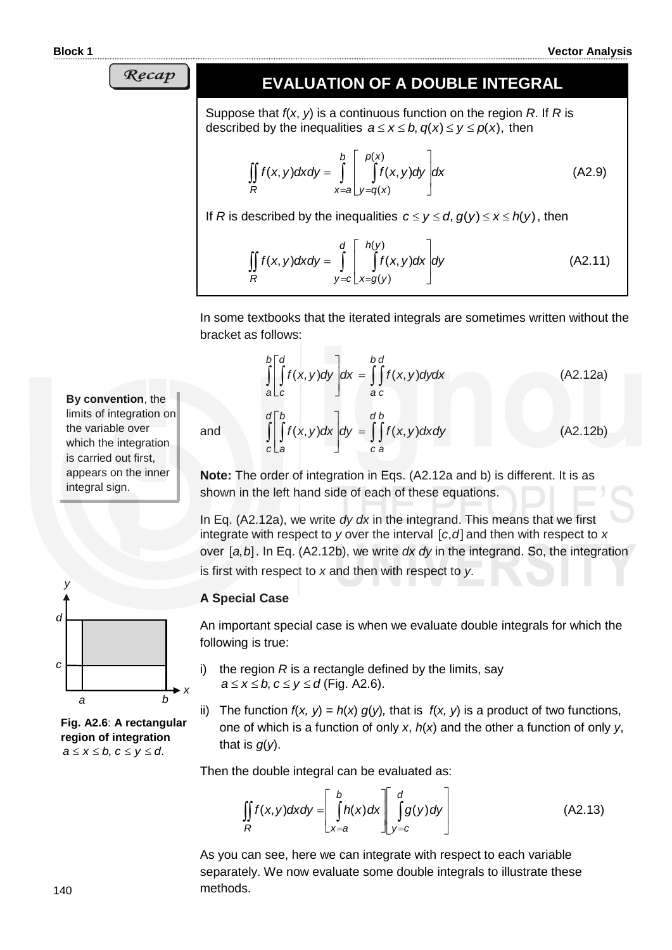Recap

#### **EVALUATION OF A DOUBLE INTEGRAL**

Suppose that *f*(*x*, *y*) is a continuous function on the region *R*. If *R* is described by the inequalities  $a \le x \le b$ ,  $q(x) \le y \le p(x)$ , then

$$
\iint\limits_R f(x, y) dxdy = \int\limits_{x=a}^b \left[ \int\limits_{y=q(x)}^{p(x)} f(x, y) dy \right] dx
$$
\n(A2.9)

If *R* is described by the inequalities  $c \le y \le d$ ,  $g(y) \le x \le h(y)$ , then

$$
\iint\limits_R f(x, y) dxdy = \int\limits_{y=c}^d \left[ \int\limits_{x=g(y)}^{h(y)} f(x, y) dx \right] dy
$$
\n(A2.11)

In some textbooks that the iterated integrals are sometimes written without the bracket as follows:

$$
\int_{a}^{b} \left[ \int_{c}^{d} f(x, y) dy \right] dx = \int_{a}^{b} \int_{c}^{d} f(x, y) dy dx
$$
\n(A2.12a)  
\n
$$
\int_{c}^{d} \left[ \int_{a}^{b} f(x, y) dx \right] dy = \int_{c}^{d} \int_{a}^{b} f(x, y) dx dy
$$
\n(A2.12b)

**Note:** The order of integration in Eqs. (A2.12a and b) is different. It is as shown in the left hand side of each of these equations.

In Eq. (A2.12a), we write *dy dx* in the integrand. This means that we first integrate with respect to  $y$  over the interval  $[c, d]$  and then with respect to  $x$ over [a, b]. In Eq. (A2.12b), we write *dx dy* in the integrand. So, the integration is first with respect to *x* and then with respect to *y*.

#### **A Special Case**

and

An important special case is when we evaluate double integrals for which the following is true:

- i) the region  $R$  is a rectangle defined by the limits, say  $a \le x \le b$ ,  $c \le y \le d$  (Fig. A2.6).
- ii) The function  $f(x, y) = h(x) g(y)$ , that is  $f(x, y)$  is a product of two functions, one of which is a function of only *x*, *h*(*x*) and the other a function of only *y*, that is *g*(*y*).

Then the double integral can be evaluated as:

$$
\iint\limits_R f(x,y)dxdy = \left[\int\limits_{x=a}^b h(x)dx\right]\left[\int\limits_{y=c}^d g(y)dy\right]
$$
\n(A2.13)

As you can see, here we can integrate with respect to each variable separately. We now evaluate some double integrals to illustrate these methods.



**By convention**, the limits of integration on the variable over which the integration is carried out first, appears on the inner

integral sign.

**Fig. A2.6**: **A rectangular region of integration**   $a \le x \le b$ ,  $c \le y \le d$ .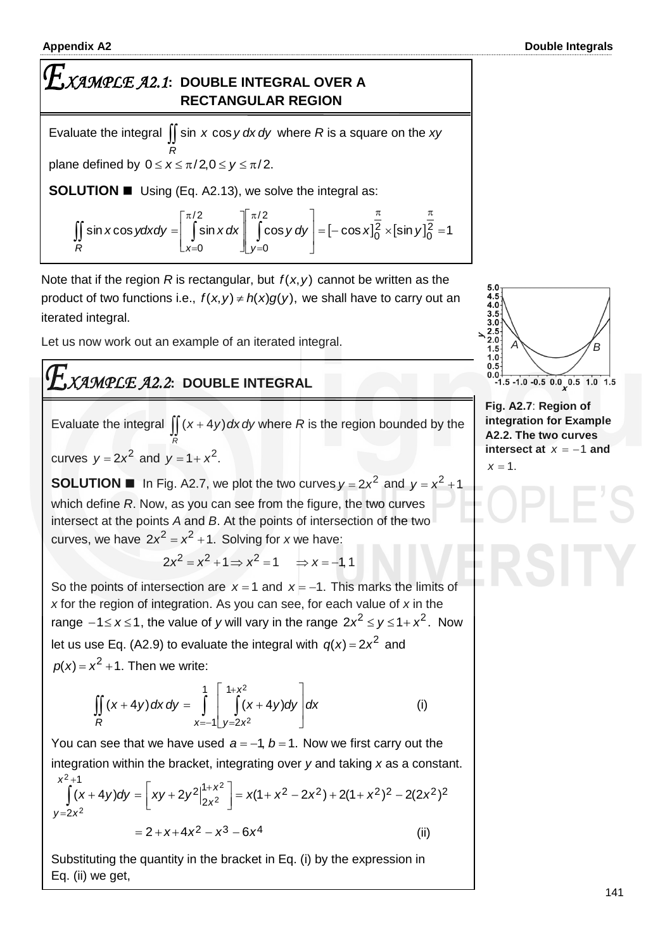I

#### **Appendix A2 Double Integrals**

## *XAMPLE A2.1***: DOUBLE INTEGRAL OVER A RECTANGULAR REGION**

Evaluate the integral  $\iint$  sin *x* cos *y dx dy* where *R* is a square on the *xy R* plane defined by  $0 \le x \le \pi/2, 0 \le y \le \pi/2$ .

**SOLUTION Using (Eq. A2.13), we solve the integral as:** 

$$
\iint_{R} \sin x \cos y \, dx \, dy = \left[ \int_{x=0}^{\pi/2} \sin x \, dx \right]_{y=0}^{\pi/2} \cos y \, dy = \left[ -\cos x \right]_{0}^{\pi} \times \left[ \sin y \right]_{0}^{\pi} = 1
$$

Note that if the region  $R$  is rectangular, but  $f(x, y)$  cannot be written as the product of two functions i.e.,  $f(x, y) \neq h(x)g(y)$ , we shall have to carry out an iterated integral.

Let us now work out an example of an iterated integral.

# *XAMPLE A2.2***: DOUBLE INTEGRAL**

Evaluate the integral  $\iint (x+4y) dx dy$  where R is the region bounded by the *R*

curves  $y = 2x^2$  and  $y = 1 + x^2$ .

**SOLUTION II** In Fig. A2.7, we plot the two curves  $y = 2x^2$  and  $y = x^2 + 1$ which define *R*. Now, as you can see from the figure, the two curves intersect at the points *A* and *B*. At the points of intersection of the two curves, we have  $2x^2 = x^2 + 1$ . Solving for *x* we have:

 $2x^2 = x^2 + 1 \Rightarrow x^2 = 1 \Rightarrow x = -1, 1$ 

So the points of intersection are  $x = 1$  and  $x = -1$ . This marks the limits of *x* for the region of integration. As you can see, for each value of *x* in the range  $-1 \le x \le 1$ , the value of *y* will vary in the range  $2x^2 \le y \le 1 + x^2$ . Now let us use Eq. (A2.9) to evaluate the integral with  $q(x) = 2x^2$  and  $p(x) = x^2 + 1$ . Then we write:

$$
\iint_{R} (x + 4y) dx dy = \int_{x=-1}^{1} \left[ \int_{y=2x^{2}}^{1+x^{2}} (x + 4y) dy \right] dx
$$
 (i)

You can see that we have used  $a = -1$ ,  $b = 1$ . Now we first carry out the integration within the bracket, integrating over *y* and taking *x* as a constant.  $\begin{vmatrix} 1+x^2 \\ x \end{vmatrix} = x(1+x^2-2x^2) + 2(1+x^2)^2 - 2(2x^2)^2$ 2 2 1  $y = 2x^2$  $\left[\frac{1}{(x+4y)dy} = \frac{1}{[xy+2y^2]_{0,2}^{1+x^2}}\right] = x(1+x^2-2x^2) + 2(1+x^2)^2 - 2(2x^2)$ 2 2 *x* + 4*y*)*dy* =  $\left[ xy + 2y^2 \right]_{2x^2}^{1+x^2} = x(1 + x^2 - 2x^2) + 2(1 + x^2)^2 - 2(2x^2)$ *x*  $\int_{x^2}^{+x}$   $= x(1 + x^2 - 2x^2) + 2(1 + x^2)^2$ *x*  $\overline{\phantom{a}}$ L +1<br> $(x+4y)dy = \int xy + 2y^2\Big|_{2}^{1+}$  $\int$ 

 $= 2 + x + 4x^2 - x^3 - 6x^4$  (ii)

Substituting the quantity in the bracket in Eq. (i) by the expression in Eq. (ii) we get,



**Fig. A2.7**: **Region of integration for Example A2.2. The two curves intersect at**  $x = -1$  and  $x = 1$ .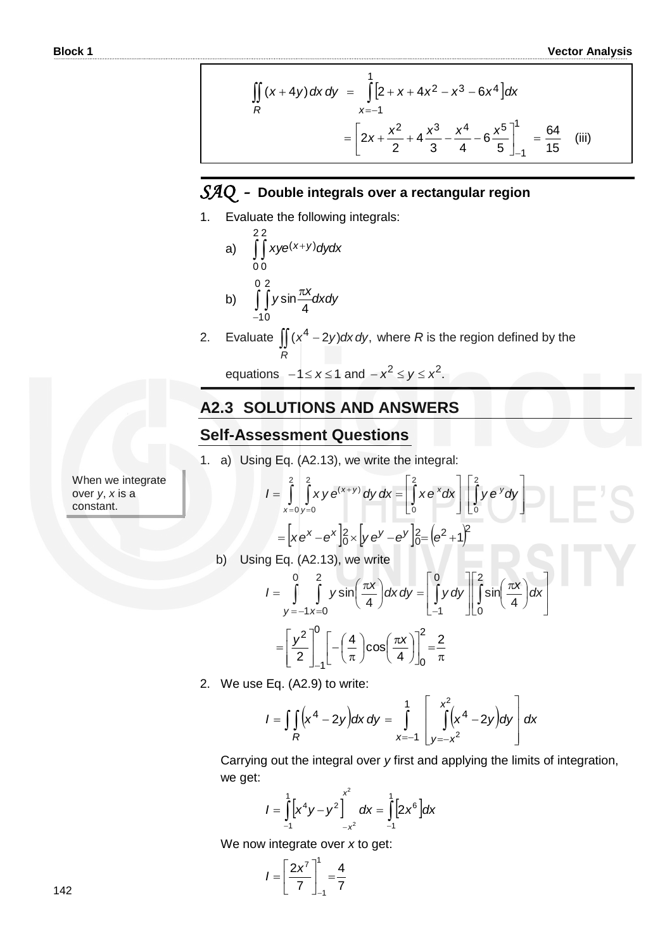$$
\iint_{R} (x+4y) dx dy = \int_{x=-1}^{1} [2+x+4x^{2}-x^{3}-6x^{4}] dx
$$

$$
= \left[ 2x + \frac{x^{2}}{2} + 4\frac{x^{3}}{3} - \frac{x^{4}}{4} - 6\frac{x^{5}}{5} \right]_{-1}^{1} = \frac{64}{15}
$$
 (iii)

#### *SAQ -* **Double integrals over a rectangular region**

1. Evaluate the following integrals:

a) 
$$
\int_{0}^{2} \int_{0}^{2} xye^{(x+y)}dydx
$$
  
b) 
$$
\int_{-10}^{0} \int_{0}^{2} y\sin{\frac{\pi x}{4}}dxdy
$$

2. Evaluate  $\iint (x^4 - 2y) dx dy$ , where *R* is the region defined by the *R*

equations  $-1 \le x \le 1$  and  $-x^2 \le y \le x^2$ .

#### **A2.3 SOLUTIONS AND ANSWERS**

#### **Self-Assessment Questions**

1. a) Using Eq. (A2.13), we write the integral:  
\n
$$
I = \int_{x=0}^{2} \int_{y=0}^{2} xy e^{(x+y)} dy dx = \int_{0}^{2} xe^{x} dx \left[ \int_{0}^{2} ye^{y} dy \right]
$$
\n
$$
= [xe^{x} - e^{x}]_{0}^{2} \times [ye^{y} - e^{y}]_{0}^{2} = (e^{2} + 1)^{2}
$$

b) Using Eq. (A2.13), we write

$$
\begin{aligned}\n\text{ing Eq. (A2.13), we write} \\
I &= \int_{y=-1}^{0} \int_{x=0}^{2} y \sin\left(\frac{\pi x}{4}\right) dx \, dy = \left[ \int_{-1}^{0} y \, dy \right] \left[ \int_{0}^{2} \sin\left(\frac{\pi x}{4}\right) dx \right] \\
&= \left[ \frac{y^{2}}{2} \right]_{-1}^{0} \left[ -\left(\frac{4}{\pi}\right) \cos\left(\frac{\pi x}{4}\right) \right]_{0}^{2} = \frac{2}{\pi}\n\end{aligned}
$$

2. We use Eq. (A2.9) to write:

2. We use Eq. (A2.9) to write:  
\n
$$
I = \iint_{R} (x^{4} - 2y) dx dy = \int_{x=-1}^{1} \left[ \int_{y=-x^{2}}^{x^{2}} (x^{4} - 2y) dy \right] dx
$$

Carrying out the integral over *y* first and applying the limits of integration, we get:

$$
I = \int_{-1}^{1} \left[ x^4 y - y^2 \right]_{-x^2}^{x^2} dx = \int_{-1}^{1} \left[ 2x^6 \right] dx
$$

We now integrate over *x* to get:

$$
I=\left[\frac{2x^7}{7}\right]_{-1}^1=\frac{4}{7}
$$

When we integrate over *y*, *x* is a constant.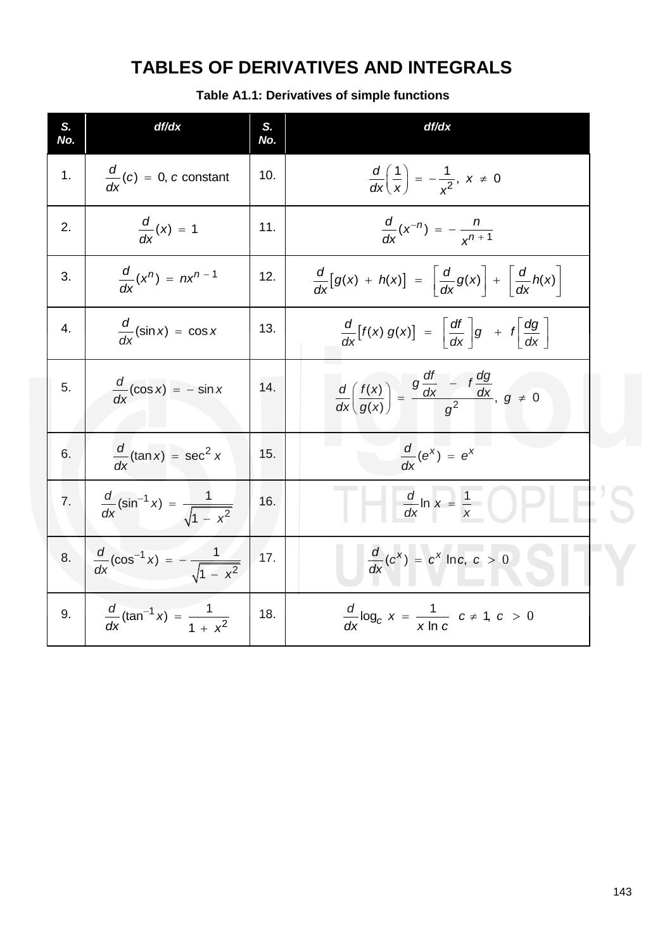# **TABLES OF DERIVATIVES AND INTEGRALS**

**Table A1.1: Derivatives of simple functions**

| S.<br>No. | df/dx                                                          | S.<br>No. | df/dx                                                                                            |  |
|-----------|----------------------------------------------------------------|-----------|--------------------------------------------------------------------------------------------------|--|
| 1.        | $\frac{d}{dx}(c) = 0$ , c constant                             | 10.       | $\frac{d}{dx}\left(\frac{1}{x}\right) = -\frac{1}{x^2}, x \neq 0$                                |  |
| 2.        | $\frac{d}{dx}(x) = 1$                                          | 11.       | $\frac{d}{dx}(x^{-n}) = -\frac{n}{x^{n+1}}$                                                      |  |
| 3.        | $\frac{d}{dx}(x^n) = nx^{n-1}$                                 | 12.       | $\frac{d}{dx}[g(x) + h(x)] = \left  \frac{d}{dx}g(x) \right  + \left  \frac{d}{dx}h(x) \right $  |  |
| 4.        | $\frac{d}{dx}$ (sin x) = cos x                                 | 13.       | $\frac{d}{dx}[f(x) g(x)] = \left  \frac{df}{dx} \right  g + f \left  \frac{dg}{dx} \right $      |  |
| 5.        | $\frac{d}{dx}(\cos x) = -\sin x$                               | 14.       | $\frac{d}{dx}\left(\frac{f(x)}{g(x)}\right)=\frac{g\frac{du}{dx}-f\frac{dy}{dx}}{g^2}, g \neq 0$ |  |
| 6.        | $\frac{d}{dx}$ (tan x) = sec <sup>2</sup> x                    | 15.       | $\frac{d}{dx}(e^x) = e^x$                                                                        |  |
| 7.        | $\frac{d}{dx}(\sin^{-1} x) = \frac{1}{\sqrt{1-x^2}}$           | 16.       | $\frac{d}{dx}$ ln $x = \frac{1}{x}$                                                              |  |
| 8.        | $rac{d}{dx}$ (cos <sup>-1</sup> x) = $-\frac{1}{\sqrt{1-x^2}}$ | 17.       | $\frac{d}{dx}(c^x) = c^x \ln c, c > 0$                                                           |  |
| 9.        | $\frac{d}{dx}(\tan^{-1} x) = \frac{1}{1 + x^2}$                | 18.       | $\frac{d}{dx} \log_c x = \frac{1}{x \ln c} c \neq 1, c > 0$                                      |  |